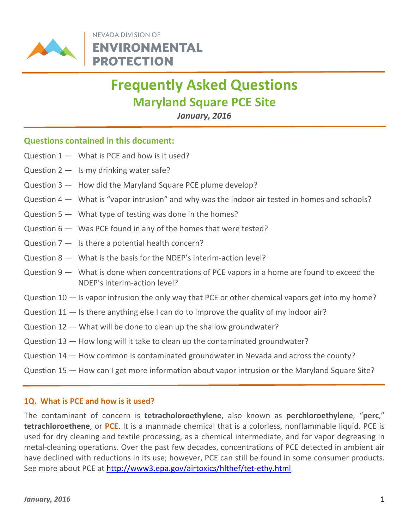

NEVADA DIVISION OF **ENVIRONMENTAL PROTECTION** 

# Frequently Asked Questions Maryland Square PCE Site

j

January, 2016

# Questions contained in this document:

- Question  $1 -$  What is PCE and how is it used?
- Question  $2 1s$  my drinking water safe?
- Question 3 How did the Maryland Square PCE plume develop?
- Question 4 What is "vapor intrusion" and why was the indoor air tested in homes and schools?
- Question 5 What type of testing was done in the homes?
- Question 6 Was PCE found in any of the homes that were tested?
- Question  $7 1$ s there a potential health concern?
- Question 8 What is the basis for the NDEP's interim-action level?
- Question 9 What is done when concentrations of PCE vapors in a home are found to exceed the NDEP's interim-action level?
- Question 10 Is vapor intrusion the only way that PCE or other chemical vapors get into my home?
- Question 11 Is there anything else I can do to improve the quality of my indoor air?
- Question 12 What will be done to clean up the shallow groundwater?
- Question 13 How long will it take to clean up the contaminated groundwater?
- Question 14 How common is contaminated groundwater in Nevada and across the county?
- Question 15 How can I get more information about vapor intrusion or the Maryland Square Site?

#### 1Q. What is PCE and how is it used?

The contaminant of concern is **tetracholoroethylene**, also known as **perchloroethylene**, "perc," tetrachloroethene, or PCE. It is a manmade chemical that is a colorless, nonflammable liquid. PCE is used for dry cleaning and textile processing, as a chemical intermediate, and for vapor degreasing in metal-cleaning operations. Over the past few decades, concentrations of PCE detected in ambient air have declined with reductions in its use; however, PCE can still be found in some consumer products. See more about PCE at http://www3.epa.gov/airtoxics/hlthef/tet-ethy.html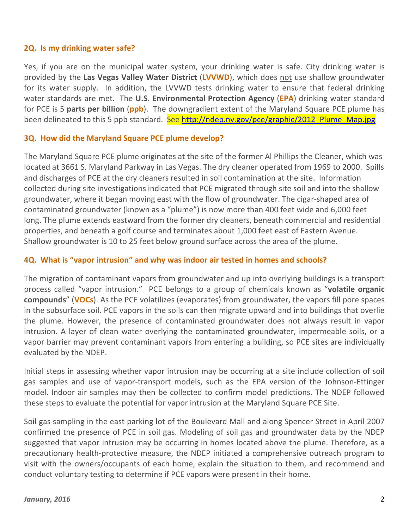#### 2Q. Is my drinking water safe?

Yes, if you are on the municipal water system, your drinking water is safe. City drinking water is provided by the Las Vegas Valley Water District (LVVWD), which does not use shallow groundwater for its water supply. In addition, the LVVWD tests drinking water to ensure that federal drinking water standards are met. The U.S. Environmental Protection Agency (EPA) drinking water standard for PCE is 5 parts per billion (ppb). The downgradient extent of the Maryland Square PCE plume has been delineated to this 5 ppb standard. See http://ndep.nv.gov/pce/graphic/2012 Plume Map.jpg

## 3Q. How did the Maryland Square PCE plume develop?

The Maryland Square PCE plume originates at the site of the former Al Phillips the Cleaner, which was located at 3661 S. Maryland Parkway in Las Vegas. The dry cleaner operated from 1969 to 2000. Spills and discharges of PCE at the dry cleaners resulted in soil contamination at the site. Information collected during site investigations indicated that PCE migrated through site soil and into the shallow groundwater, where it began moving east with the flow of groundwater. The cigar-shaped area of contaminated groundwater (known as a "plume") is now more than 400 feet wide and 6,000 feet long. The plume extends eastward from the former dry cleaners, beneath commercial and residential properties, and beneath a golf course and terminates about 1,000 feet east of Eastern Avenue. Shallow groundwater is 10 to 25 feet below ground surface across the area of the plume.

## 4Q. What is "vapor intrusion" and why was indoor air tested in homes and schools?

The migration of contaminant vapors from groundwater and up into overlying buildings is a transport process called "vapor intrusion." PCE belongs to a group of chemicals known as "volatile organic compounds" (VOCs). As the PCE volatilizes (evaporates) from groundwater, the vapors fill pore spaces in the subsurface soil. PCE vapors in the soils can then migrate upward and into buildings that overlie the plume. However, the presence of contaminated groundwater does not always result in vapor intrusion. A layer of clean water overlying the contaminated groundwater, impermeable soils, or a vapor barrier may prevent contaminant vapors from entering a building, so PCE sites are individually evaluated by the NDEP.

Initial steps in assessing whether vapor intrusion may be occurring at a site include collection of soil gas samples and use of vapor-transport models, such as the EPA version of the Johnson-Ettinger model. Indoor air samples may then be collected to confirm model predictions. The NDEP followed these steps to evaluate the potential for vapor intrusion at the Maryland Square PCE Site.

Soil gas sampling in the east parking lot of the Boulevard Mall and along Spencer Street in April 2007 confirmed the presence of PCE in soil gas. Modeling of soil gas and groundwater data by the NDEP suggested that vapor intrusion may be occurring in homes located above the plume. Therefore, as a precautionary health-protective measure, the NDEP initiated a comprehensive outreach program to visit with the owners/occupants of each home, explain the situation to them, and recommend and conduct voluntary testing to determine if PCE vapors were present in their home.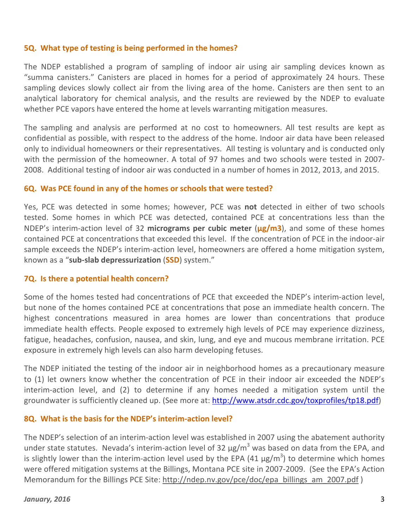#### 5Q. What type of testing is being performed in the homes?

The NDEP established a program of sampling of indoor air using air sampling devices known as "summa canisters." Canisters are placed in homes for a period of approximately 24 hours. These sampling devices slowly collect air from the living area of the home. Canisters are then sent to an analytical laboratory for chemical analysis, and the results are reviewed by the NDEP to evaluate whether PCE vapors have entered the home at levels warranting mitigation measures.

The sampling and analysis are performed at no cost to homeowners. All test results are kept as confidential as possible, with respect to the address of the home. Indoor air data have been released only to individual homeowners or their representatives. All testing is voluntary and is conducted only with the permission of the homeowner. A total of 97 homes and two schools were tested in 2007- 2008. Additional testing of indoor air was conducted in a number of homes in 2012, 2013, and 2015.

#### 6Q. Was PCE found in any of the homes or schools that were tested?

Yes, PCE was detected in some homes; however, PCE was not detected in either of two schools tested. Some homes in which PCE was detected, contained PCE at concentrations less than the NDEP's interim-action level of 32 micrograms per cubic meter  $(\mu g/m3)$ , and some of these homes contained PCE at concentrations that exceeded this level. If the concentration of PCE in the indoor-air sample exceeds the NDEP's interim-action level, homeowners are offered a home mitigation system, known as a "sub-slab depressurization (SSD) system."

#### 7Q. Is there a potential health concern?

Some of the homes tested had concentrations of PCE that exceeded the NDEP's interim-action level, but none of the homes contained PCE at concentrations that pose an immediate health concern. The highest concentrations measured in area homes are lower than concentrations that produce immediate health effects. People exposed to extremely high levels of PCE may experience dizziness, fatigue, headaches, confusion, nausea, and skin, lung, and eye and mucous membrane irritation. PCE exposure in extremely high levels can also harm developing fetuses.

The NDEP initiated the testing of the indoor air in neighborhood homes as a precautionary measure to (1) let owners know whether the concentration of PCE in their indoor air exceeded the NDEP's interim-action level, and (2) to determine if any homes needed a mitigation system until the groundwater is sufficiently cleaned up. (See more at: http://www.atsdr.cdc.gov/toxprofiles/tp18.pdf)

#### 8Q. What is the basis for the NDEP's interim-action level?

The NDEP's selection of an interim-action level was established in 2007 using the abatement authority under state statutes. Nevada's interim-action level of 32  $\mu$ g/m<sup>3</sup> was based on data from the EPA, and is slightly lower than the interim-action level used by the EPA (41  $\mu$ g/m<sup>3</sup>) to determine which homes were offered mitigation systems at the Billings, Montana PCE site in 2007-2009. (See the EPA's Action Memorandum for the Billings PCE Site: http://ndep.nv.gov/pce/doc/epa\_billings\_am\_2007.pdf )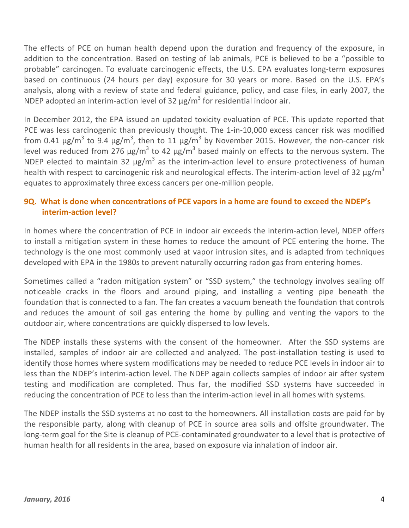The effects of PCE on human health depend upon the duration and frequency of the exposure, in addition to the concentration. Based on testing of lab animals, PCE is believed to be a "possible to probable" carcinogen. To evaluate carcinogenic effects, the U.S. EPA evaluates long-term exposures based on continuous (24 hours per day) exposure for 30 years or more. Based on the U.S. EPA's analysis, along with a review of state and federal guidance, policy, and case files, in early 2007, the NDEP adopted an interim-action level of 32  $\mu$ g/m<sup>3</sup> for residential indoor air.

In December 2012, the EPA issued an updated toxicity evaluation of PCE. This update reported that PCE was less carcinogenic than previously thought. The 1-in-10,000 excess cancer risk was modified from 0.41  $\mu$ g/m $^3$  to 9.4  $\mu$ g/m $^3$ , then to 11  $\mu$ g/m $^3$  by November 2015. However, the non-cancer risk level was reduced from 276  $\mu$ g/m<sup>3</sup> to 42  $\mu$ g/m<sup>3</sup> based mainly on effects to the nervous system. The NDEP elected to maintain 32  $\mu$ g/m<sup>3</sup> as the interim-action level to ensure protectiveness of human health with respect to carcinogenic risk and neurological effects. The interim-action level of 32  $\mu$ g/m<sup>3</sup> equates to approximately three excess cancers per one-million people.

# 9Q. What is done when concentrations of PCE vapors in a home are found to exceed the NDEP's interim-action level?

In homes where the concentration of PCE in indoor air exceeds the interim-action level, NDEP offers to install a mitigation system in these homes to reduce the amount of PCE entering the home. The technology is the one most commonly used at vapor intrusion sites, and is adapted from techniques developed with EPA in the 1980s to prevent naturally occurring radon gas from entering homes.

Sometimes called a "radon mitigation system" or "SSD system," the technology involves sealing off noticeable cracks in the floors and around piping, and installing a venting pipe beneath the foundation that is connected to a fan. The fan creates a vacuum beneath the foundation that controls and reduces the amount of soil gas entering the home by pulling and venting the vapors to the outdoor air, where concentrations are quickly dispersed to low levels.

The NDEP installs these systems with the consent of the homeowner. After the SSD systems are installed, samples of indoor air are collected and analyzed. The post-installation testing is used to identify those homes where system modifications may be needed to reduce PCE levels in indoor air to less than the NDEP's interim-action level. The NDEP again collects samples of indoor air after system testing and modification are completed. Thus far, the modified SSD systems have succeeded in reducing the concentration of PCE to less than the interim-action level in all homes with systems.

The NDEP installs the SSD systems at no cost to the homeowners. All installation costs are paid for by the responsible party, along with cleanup of PCE in source area soils and offsite groundwater. The long-term goal for the Site is cleanup of PCE-contaminated groundwater to a level that is protective of human health for all residents in the area, based on exposure via inhalation of indoor air.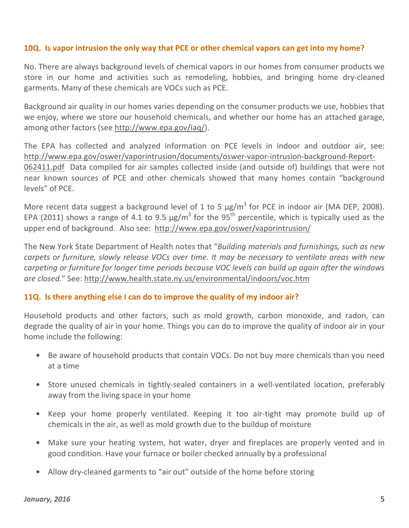## 10Q. Is vapor intrusion the only way that PCE or other chemical vapors can get into my home?

No. There are always background levels of chemical vapors in our homes from consumer products we store in our home and activities such as remodeling, hobbies, and bringing home dry-cleaned garments. Many of these chemicals are VOCs such as PCE.

Background air quality in our homes varies depending on the consumer products we use, hobbies that we enjoy, where we store our household chemicals, and whether our home has an attached garage, among other factors (see http://www.epa.gov/iaq/).

The EPA has collected and analyzed information on PCE levels in indoor and outdoor air, see: http://www.epa.gov/oswer/vaporintrusion/documents/oswer-vapor-intrusion-background-Report-062411.pdf Data compiled for air samples collected inside (and outside of) buildings that were not near known sources of PCE and other chemicals showed that many homes contain "background levels" of PCE.

More recent data suggest a background level of 1 to 5  $\mu$ g/m<sup>3</sup> for PCE in indoor air (MA DEP, 2008). EPA (2011) shows a range of 4.1 to 9.5  $\mu$ g/m<sup>3</sup> for the 95<sup>th</sup> percentile, which is typically used as the upper end of background. Also see: http://www.epa.gov/oswer/vaporintrusion/

The New York State Department of Health notes that "Building materials and furnishings, such as new carpets or furniture, slowly release VOCs over time. It may be necessary to ventilate areas with new carpeting or furniture for longer time periods because VOC levels can build up again after the windows are closed." See: http://www.health.state.ny.us/environmental/indoors/voc.htm

#### 11Q. Is there anything else I can do to improve the quality of my indoor air?

Household products and other factors, such as mold growth, carbon monoxide, and radon, can degrade the quality of air in your home. Things you can do to improve the quality of indoor air in your home include the following:

- Be aware of household products that contain VOCs. Do not buy more chemicals than you need at a time
- Store unused chemicals in tightly-sealed containers in a well-ventilated location, preferably away from the living space in your home
- Keep your home properly ventilated. Keeping it too air-tight may promote build up of chemicals in the air, as well as mold growth due to the buildup of moisture
- Make sure your heating system, hot water, dryer and fireplaces are properly vented and in good condition. Have your furnace or boiler checked annually by a professional
- Allow dry-cleaned garments to "air out" outside of the home before storing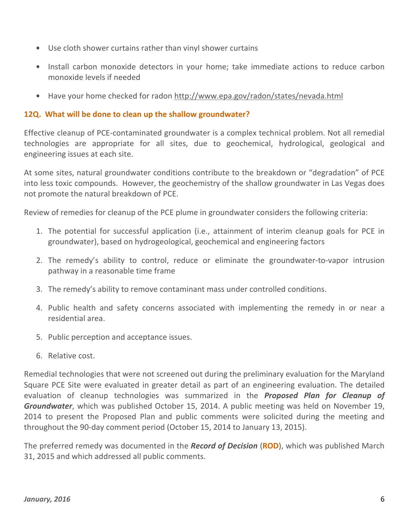- Use cloth shower curtains rather than vinyl shower curtains
- Install carbon monoxide detectors in your home; take immediate actions to reduce carbon monoxide levels if needed
- Have your home checked for radon http://www.epa.gov/radon/states/nevada.html

# 12Q. What will be done to clean up the shallow groundwater?

Effective cleanup of PCE-contaminated groundwater is a complex technical problem. Not all remedial technologies are appropriate for all sites, due to geochemical, hydrological, geological and engineering issues at each site.

At some sites, natural groundwater conditions contribute to the breakdown or "degradation" of PCE into less toxic compounds. However, the geochemistry of the shallow groundwater in Las Vegas does not promote the natural breakdown of PCE.

Review of remedies for cleanup of the PCE plume in groundwater considers the following criteria:

- 1. The potential for successful application (i.e., attainment of interim cleanup goals for PCE in groundwater), based on hydrogeological, geochemical and engineering factors
- 2. The remedy's ability to control, reduce or eliminate the groundwater-to-vapor intrusion pathway in a reasonable time frame
- 3. The remedy's ability to remove contaminant mass under controlled conditions.
- 4. Public health and safety concerns associated with implementing the remedy in or near a residential area.
- 5. Public perception and acceptance issues.
- 6. Relative cost.

Remedial technologies that were not screened out during the preliminary evaluation for the Maryland Square PCE Site were evaluated in greater detail as part of an engineering evaluation. The detailed evaluation of cleanup technologies was summarized in the **Proposed Plan for Cleanup of** Groundwater, which was published October 15, 2014. A public meeting was held on November 19, 2014 to present the Proposed Plan and public comments were solicited during the meeting and throughout the 90-day comment period (October 15, 2014 to January 13, 2015).

The preferred remedy was documented in the **Record of Decision (ROD)**, which was published March 31, 2015 and which addressed all public comments.